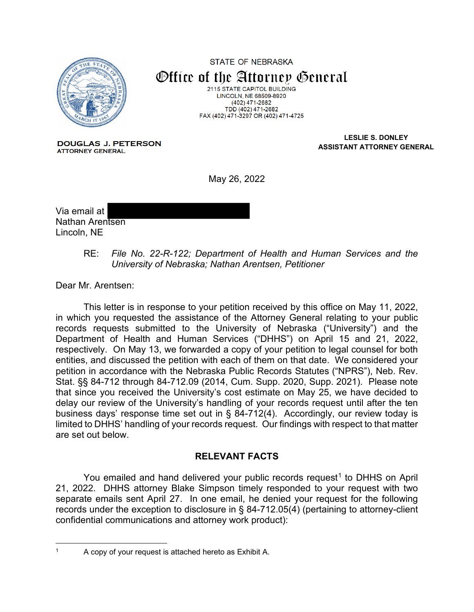

**STATE OF NEBRASKA** Office of the Attorney General 2115 STATE CAPITOL BUILDING LINCOLN, NE 68509-8920 (402) 471-2682

TDD (402) 471-2682 FAX (402) 471-3297 OR (402) 471-4725

**DOUGLAS J. PETERSON ATTORNEY GENERAL** 

**LESLIE S. DONLEY ASSISTANT ATTORNEY GENERAL**

May 26, 2022

Via email at Nathan Arentsen Lincoln, NE

> RE: *File No. 22-R-122; Department of Health and Human Services and the University of Nebraska; Nathan Arentsen, Petitioner*

Dear Mr. Arentsen:

This letter is in response to your petition received by this office on May 11, 2022, in which you requested the assistance of the Attorney General relating to your public records requests submitted to the University of Nebraska ("University") and the Department of Health and Human Services ("DHHS") on April 15 and 21, 2022, respectively. On May 13, we forwarded a copy of your petition to legal counsel for both entities, and discussed the petition with each of them on that date. We considered your petition in accordance with the Nebraska Public Records Statutes ("NPRS"), Neb. Rev. Stat. §§ 84-712 through 84-712.09 (2014, Cum. Supp. 2020, Supp. 2021). Please note that since you received the University's cost estimate on May 25, we have decided to delay our review of the University's handling of your records request until after the ten business days' response time set out in § 84-712(4). Accordingly, our review today is limited to DHHS' handling of your records request. Our findings with respect to that matter are set out below.

## **RELEVANT FACTS**

You emailed and hand delivered your public records request<sup>[1](#page-0-0)</sup> to DHHS on April 21, 2022. DHHS attorney Blake Simpson timely responded to your request with two separate emails sent April 27. In one email, he denied your request for the following records under the exception to disclosure in § 84-712.05(4) (pertaining to attorney-client confidential communications and attorney work product):

<span id="page-0-0"></span>

<sup>1</sup> A copy of your request is attached hereto as Exhibit A.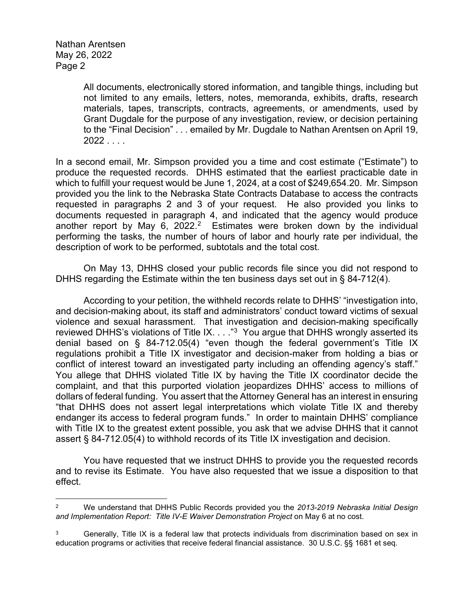> All documents, electronically stored information, and tangible things, including but not limited to any emails, letters, notes, memoranda, exhibits, drafts, research materials, tapes, transcripts, contracts, agreements, or amendments, used by Grant Dugdale for the purpose of any investigation, review, or decision pertaining to the "Final Decision" . . . emailed by Mr. Dugdale to Nathan Arentsen on April 19,  $2022...$

In a second email, Mr. Simpson provided you a time and cost estimate ("Estimate") to produce the requested records. DHHS estimated that the earliest practicable date in which to fulfill your request would be June 1, 2024, at a cost of \$249,654.20. Mr. Simpson provided you the link to the Nebraska State Contracts Database to access the contracts requested in paragraphs 2 and 3 of your request. He also provided you links to documents requested in paragraph 4, and indicated that the agency would produce another report by May 6, 2022.<sup>2</sup> Estimates were broken down by the individual performing the tasks, the number of hours of labor and hourly rate per individual, the description of work to be performed, subtotals and the total cost.

On May 13, DHHS closed your public records file since you did not respond to DHHS regarding the Estimate within the ten business days set out in § 84-712(4).

According to your petition, the withheld records relate to DHHS' "investigation into, and decision-making about, its staff and administrators' conduct toward victims of sexual violence and sexual harassment. That investigation and decision-making specifically reviewed DHHS's violations of Title IX. . . . "[3](#page-1-1) You argue that DHHS wrongly asserted its denial based on § 84-712.05(4) "even though the federal government's Title IX regulations prohibit a Title IX investigator and decision-maker from holding a bias or conflict of interest toward an investigated party including an offending agency's staff." You allege that DHHS violated Title IX by having the Title IX coordinator decide the complaint, and that this purported violation jeopardizes DHHS' access to millions of dollars of federal funding. You assert that the Attorney General has an interest in ensuring "that DHHS does not assert legal interpretations which violate Title IX and thereby endanger its access to federal program funds." In order to maintain DHHS' compliance with Title IX to the greatest extent possible, you ask that we advise DHHS that it cannot assert § 84-712.05(4) to withhold records of its Title IX investigation and decision.

You have requested that we instruct DHHS to provide you the requested records and to revise its Estimate. You have also requested that we issue a disposition to that effect.

<span id="page-1-0"></span><sup>2</sup> We understand that DHHS Public Records provided you the *2013-2019 Nebraska Initial Design and Implementation Report: Title IV-E Waiver Demonstration Project* on May 6 at no cost.

<span id="page-1-1"></span>Generally, Title IX is a federal law that protects individuals from discrimination based on sex in education programs or activities that receive federal financial assistance. 30 U.S.C. §§ 1681 et seq.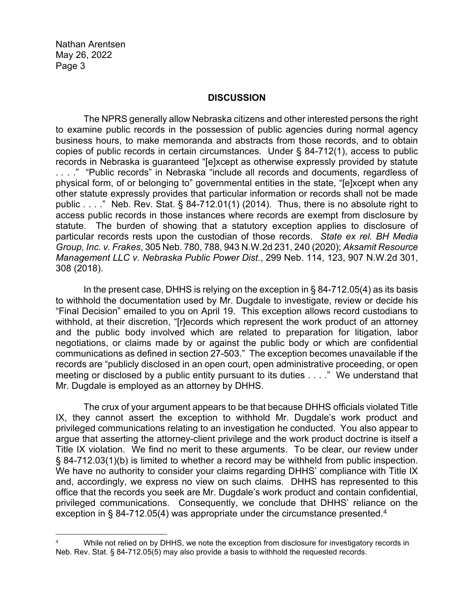## **DISCUSSION**

The NPRS generally allow Nebraska citizens and other interested persons the right to examine public records in the possession of public agencies during normal agency business hours, to make memoranda and abstracts from those records, and to obtain copies of public records in certain circumstances. Under § 84-712(1), access to public records in Nebraska is guaranteed "[e]xcept as otherwise expressly provided by statute . . . ." "Public records" in Nebraska "include all records and documents, regardless of physical form, of or belonging to" governmental entities in the state, "[e]xcept when any other statute expressly provides that particular information or records shall not be made public  $\dots$ ." Neb. Rev. Stat. § 84-712.01(1) (2014). Thus, there is no absolute right to access public records in those instances where records are exempt from disclosure by statute. The burden of showing that a statutory exception applies to disclosure of particular records rests upon the custodian of those records. *State ex rel. BH Media Group, Inc. v. Frakes*, 305 Neb. 780, 788, 943 N.W.2d 231, 240 (2020); *Aksamit Resource Management LLC v. Nebraska Public Power Dist.*, 299 Neb. 114, 123, 907 N.W.2d 301, 308 (2018).

In the present case, DHHS is relying on the exception in § 84-712.05(4) as its basis to withhold the documentation used by Mr. Dugdale to investigate, review or decide his "Final Decision" emailed to you on April 19. This exception allows record custodians to withhold, at their discretion, "[r]ecords which represent the work product of an attorney and the public body involved which are related to preparation for litigation, labor negotiations, or claims made by or against the public body or which are confidential communications as defined in section 27-503." The exception becomes unavailable if the records are "publicly disclosed in an open court, open administrative proceeding, or open meeting or disclosed by a public entity pursuant to its duties . . . ." We understand that Mr. Dugdale is employed as an attorney by DHHS.

The crux of your argument appears to be that because DHHS officials violated Title IX, they cannot assert the exception to withhold Mr. Dugdale's work product and privileged communications relating to an investigation he conducted. You also appear to argue that asserting the attorney-client privilege and the work product doctrine is itself a Title IX violation. We find no merit to these arguments. To be clear, our review under § 84-712.03(1)(b) is limited to whether a record may be withheld from public inspection. We have no authority to consider your claims regarding DHHS' compliance with Title IX and, accordingly, we express no view on such claims. DHHS has represented to this office that the records you seek are Mr. Dugdale's work product and contain confidential, privileged communications. Consequently, we conclude that DHHS' reliance on the exception in § 84-712.05(4) was appropriate under the circumstance presented.<sup>4</sup>

<span id="page-2-0"></span>While not relied on by DHHS, we note the exception from disclosure for investigatory records in Neb. Rev. Stat. § 84-712.05(5) may also provide a basis to withhold the requested records.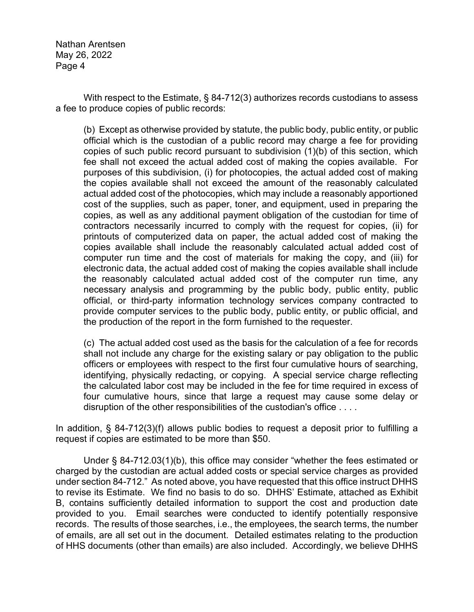With respect to the Estimate, § 84-712(3) authorizes records custodians to assess a fee to produce copies of public records:

(b) Except as otherwise provided by statute, the public body, public entity, or public official which is the custodian of a public record may charge a fee for providing copies of such public record pursuant to subdivision (1)(b) of this section, which fee shall not exceed the actual added cost of making the copies available. For purposes of this subdivision, (i) for photocopies, the actual added cost of making the copies available shall not exceed the amount of the reasonably calculated actual added cost of the photocopies, which may include a reasonably apportioned cost of the supplies, such as paper, toner, and equipment, used in preparing the copies, as well as any additional payment obligation of the custodian for time of contractors necessarily incurred to comply with the request for copies, (ii) for printouts of computerized data on paper, the actual added cost of making the copies available shall include the reasonably calculated actual added cost of computer run time and the cost of materials for making the copy, and (iii) for electronic data, the actual added cost of making the copies available shall include the reasonably calculated actual added cost of the computer run time, any necessary analysis and programming by the public body, public entity, public official, or third-party information technology services company contracted to provide computer services to the public body, public entity, or public official, and the production of the report in the form furnished to the requester.

(c) The actual added cost used as the basis for the calculation of a fee for records shall not include any charge for the existing salary or pay obligation to the public officers or employees with respect to the first four cumulative hours of searching, identifying, physically redacting, or copying. A special service charge reflecting the calculated labor cost may be included in the fee for time required in excess of four cumulative hours, since that large a request may cause some delay or disruption of the other responsibilities of the custodian's office . . . .

In addition, § 84-712(3)(f) allows public bodies to request a deposit prior to fulfilling a request if copies are estimated to be more than \$50.

Under § 84-712.03(1)(b), this office may consider "whether the fees estimated or charged by the custodian are actual added costs or special service charges as provided under section 84-712." As noted above, you have requested that this office instruct DHHS to revise its Estimate. We find no basis to do so. DHHS' Estimate, attached as Exhibit B, contains sufficiently detailed information to support the cost and production date provided to you. Email searches were conducted to identify potentially responsive records. The results of those searches, i.e., the employees, the search terms, the number of emails, are all set out in the document. Detailed estimates relating to the production of HHS documents (other than emails) are also included. Accordingly, we believe DHHS